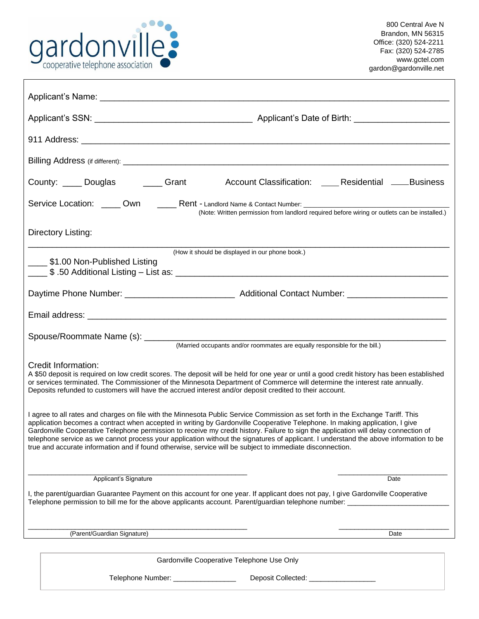

800 Central Ave N Brandon, MN 56315 Office: (320) 524-2211 Fax: (320) 524-2785 www.gctel.com gardon@gardonville.net

| County: _____ Douglas ________ Grant ______ Account Classification: _____ Residential _____Business                                                                                                                                                                                                                                                                                                                                                                                                                                                                                                                                                         |
|-------------------------------------------------------------------------------------------------------------------------------------------------------------------------------------------------------------------------------------------------------------------------------------------------------------------------------------------------------------------------------------------------------------------------------------------------------------------------------------------------------------------------------------------------------------------------------------------------------------------------------------------------------------|
| Service Location: _____ Own ______ Rent - Landlord Name & Contact Number: _________________________<br>(Note: Written permission from landlord required before wiring or outlets can be installed.)                                                                                                                                                                                                                                                                                                                                                                                                                                                         |
| Directory Listing:                                                                                                                                                                                                                                                                                                                                                                                                                                                                                                                                                                                                                                          |
| (How it should be displayed in our phone book.)                                                                                                                                                                                                                                                                                                                                                                                                                                                                                                                                                                                                             |
| _____\$1.00 Non-Published Listing                                                                                                                                                                                                                                                                                                                                                                                                                                                                                                                                                                                                                           |
|                                                                                                                                                                                                                                                                                                                                                                                                                                                                                                                                                                                                                                                             |
|                                                                                                                                                                                                                                                                                                                                                                                                                                                                                                                                                                                                                                                             |
|                                                                                                                                                                                                                                                                                                                                                                                                                                                                                                                                                                                                                                                             |
|                                                                                                                                                                                                                                                                                                                                                                                                                                                                                                                                                                                                                                                             |
| Credit Information:<br>A \$50 deposit is required on low credit scores. The deposit will be held for one year or until a good credit history has been established<br>or services terminated. The Commissioner of the Minnesota Department of Commerce will determine the interest rate annually.<br>Deposits refunded to customers will have the accrued interest and/or deposit credited to their account.                                                                                                                                                                                                                                                 |
| I agree to all rates and charges on file with the Minnesota Public Service Commission as set forth in the Exchange Tariff. This<br>application becomes a contract when accepted in writing by Gardonville Cooperative Telephone. In making application, I give<br>Gardonville Cooperative Telephone permission to receive my credit history. Failure to sign the application will delay connection of<br>telephone service as we cannot process your application without the signatures of applicant. I understand the above information to be<br>true and accurate information and if found otherwise, service will be subject to immediate disconnection. |
| Applicant's Signature<br>Date                                                                                                                                                                                                                                                                                                                                                                                                                                                                                                                                                                                                                               |
| I, the parent/guardian Guarantee Payment on this account for one year. If applicant does not pay, I give Gardonville Cooperative<br>Telephone permission to bill me for the above applicants account. Parent/guardian telephone number:                                                                                                                                                                                                                                                                                                                                                                                                                     |
|                                                                                                                                                                                                                                                                                                                                                                                                                                                                                                                                                                                                                                                             |
| (Parent/Guardian Signature)<br>Date                                                                                                                                                                                                                                                                                                                                                                                                                                                                                                                                                                                                                         |
| Gardonville Cooperative Telephone Use Only                                                                                                                                                                                                                                                                                                                                                                                                                                                                                                                                                                                                                  |

Telephone Number: \_\_\_\_\_\_\_\_\_\_\_\_\_\_\_\_\_\_\_\_\_ Deposit Collected: \_\_\_\_\_\_\_\_\_\_\_\_\_\_\_\_\_\_\_\_\_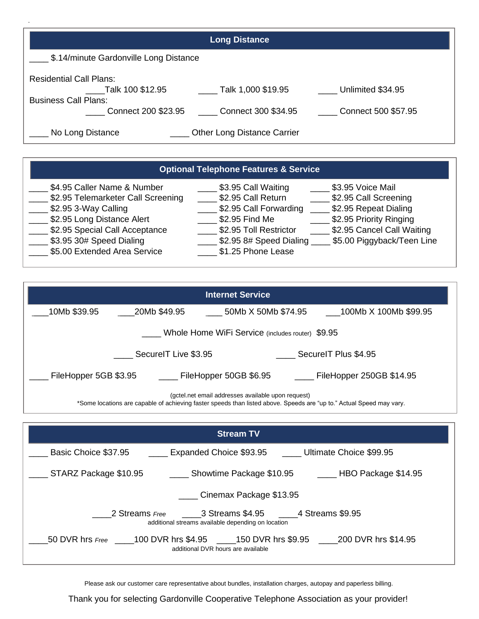|                                        | <b>Long Distance</b>               |                     |
|----------------------------------------|------------------------------------|---------------------|
| \$.14/minute Gardonville Long Distance |                                    |                     |
| <b>Residential Call Plans:</b>         |                                    |                     |
| Talk 100 \$12.95                       | Talk 1,000 \$19.95                 | Unlimited \$34.95   |
| <b>Business Call Plans:</b>            |                                    |                     |
| Connect 200 \$23.95                    | Connect 300 \$34.95                | Connect 500 \$57.95 |
| No Long Distance                       | <b>Other Long Distance Carrier</b> |                     |

.

# **Optional Telephone Features & Service**

| \$4.95 Caller Name & Number<br>\$2.95 Telemarketer Call Screening<br>\$2.95 3-Way Calling<br>\$2.95 Long Distance Alert<br>\$2.95 Special Call Acceptance | \$3.95 Call Waiting<br>\$3.95 Voice Mail<br>\$2.95 Call Return<br>\$2.95 Call Screening<br>\$2.95 Repeat Dialing<br>\$2.95 Call Forwarding<br>\$2.95 Priority Ringing<br>\$2.95 Find Me<br>\$2.95 Cancel Call Waiting<br>\$2.95 Toll Restrictor |
|-----------------------------------------------------------------------------------------------------------------------------------------------------------|-------------------------------------------------------------------------------------------------------------------------------------------------------------------------------------------------------------------------------------------------|
| \$3.95 30# Speed Dialing                                                                                                                                  | \$5.00 Piggyback/Teen Line<br>\$2.958# Speed Dialing                                                                                                                                                                                            |
| \$5.00 Extended Area Service                                                                                                                              | \$1.25 Phone Lease                                                                                                                                                                                                                              |

| <b>Internet Service</b>                          |                      |                                                    |                          |
|--------------------------------------------------|----------------------|----------------------------------------------------|--------------------------|
| 10Mb \$39.95                                     | 20Mb \$49.95         | 50Mb X 50Mb \$74.95                                | 100Mb X 100Mb \$99.95    |
| Whole Home WiFi Service (includes router) \$9.95 |                      |                                                    |                          |
|                                                  | SecurelT Live \$3.95 |                                                    | SecureIT Plus \$4.95     |
| FileHopper 5GB \$3.95                            |                      | FileHopper 50GB \$6.95                             | FileHopper 250GB \$14.95 |
|                                                  |                      | (gctel.net email addresses available upon request) |                          |

\*Some locations are capable of achieving faster speeds than listed above. Speeds are "up to." Actual Speed may vary.

| <b>Stream TV</b>                                                                                                               |  |  |  |
|--------------------------------------------------------------------------------------------------------------------------------|--|--|--|
| Basic Choice \$37.95<br>Expanded Choice \$93.95 _______ Ultimate Choice \$99.95                                                |  |  |  |
| STARZ Package \$10.95<br>Showtime Package \$10.95<br>HBO Package \$14.95                                                       |  |  |  |
| Cinemax Package \$13.95                                                                                                        |  |  |  |
| additional streams available depending on location                                                                             |  |  |  |
| 50 DVR hrs Free _____100 DVR hrs \$4.95 _____150 DVR hrs \$9.95 _____200 DVR hrs \$14.95<br>additional DVR hours are available |  |  |  |

Please ask our customer care representative about bundles, installation charges, autopay and paperless billing.

Thank you for selecting Gardonville Cooperative Telephone Association as your provider!